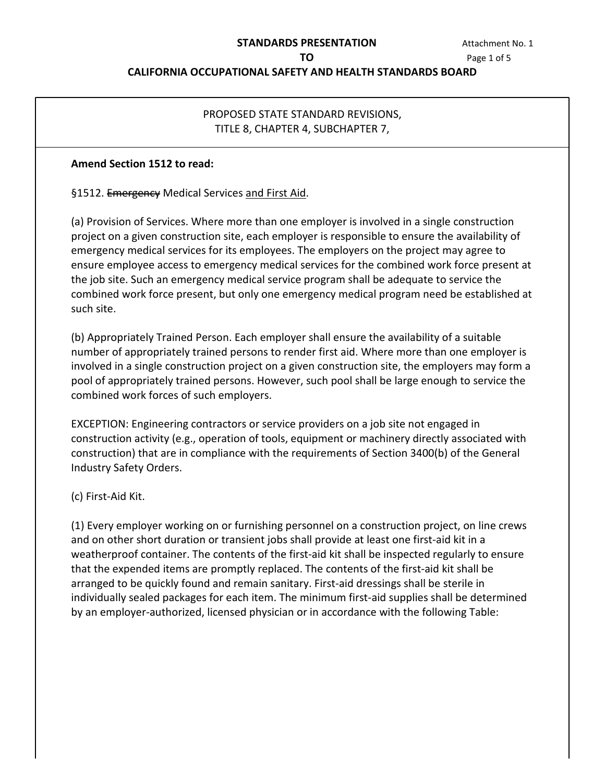### **STANDARDS PRESENTATION TO**

 Page 1 of 5 Attachment No. 1

### **CALIFORNIA OCCUPATIONAL SAFETY AND HEALTH STANDARDS BOARD**

## PROPOSED STATE STANDARD REVISIONS, TITLE 8, CHAPTER 4, SUBCHAPTER 7,

#### **Amend Section 1512 to read:**

§1512. Emergency Medical Services and First Aid.

 (a) Provision of Services. Where more than one employer is involved in a single construction emergency medical services for its employees. The employers on the project may agree to ensure employee access to emergency medical services for the combined work force present at the job site. Such an emergency medical service program shall be adequate to service the combined work force present, but only one emergency medical program need be established at project on a given construction site, each employer is responsible to ensure the availability of such site.

 (b) Appropriately Trained Person. Each employer shall ensure the availability of a suitable number of appropriately trained persons to render first aid. Where more than one employer is involved in a single construction project on a given construction site, the employers may form a pool of appropriately trained persons. However, such pool shall be large enough to service the combined work forces of such employers.

 EXCEPTION: Engineering contractors or service providers on a job site not engaged in construction activity (e.g., operation of tools, equipment or machinery directly associated with construction) that are in compliance with the requirements of Section 3400(b) of the General Industry Safety Orders.

(c) First-Aid Kit.

 (1) Every employer working on or furnishing personnel on a construction project, on line crews weatherproof container. The contents of the first-aid kit shall be inspected regularly to ensure that the expended items are promptly replaced. The contents of the first-aid kit shall be arranged to be quickly found and remain sanitary. First-aid dressings shall be sterile in individually sealed packages for each item. The minimum first-aid supplies shall be determined by an employer-authorized, licensed physician or in accordance with the following Table: and on other short duration or transient jobs shall provide at least one first-aid kit in a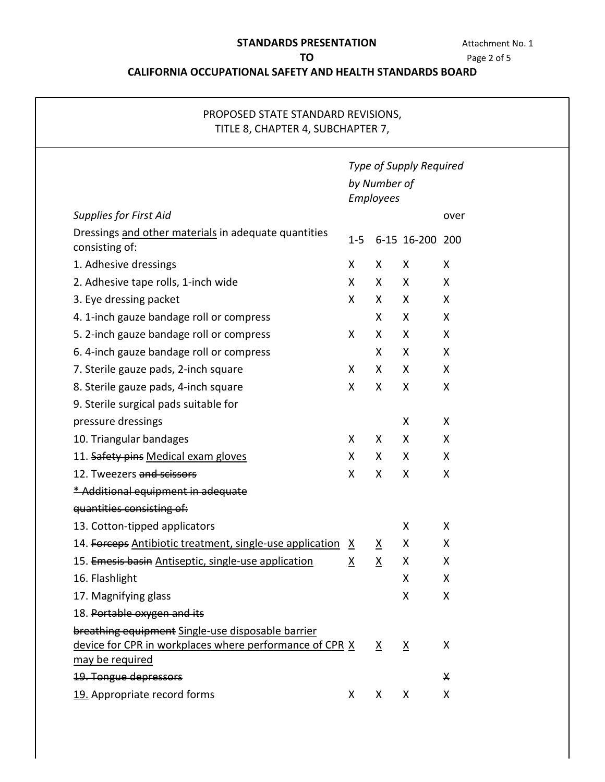## **STANDARDS PRESENTATION Attachment No. 1**

**TO** Page 2 of 5

## **CALIFORNIA OCCUPATIONAL SAFETY AND HEALTH STANDARDS BOARD**

| PROPOSED STATE STANDARD REVISIONS,<br>TITLE 8, CHAPTER 4, SUBCHAPTER 7,                                                         |                                                      |                          |                 |      |  |  |
|---------------------------------------------------------------------------------------------------------------------------------|------------------------------------------------------|--------------------------|-----------------|------|--|--|
|                                                                                                                                 | Type of Supply Required<br>by Number of<br>Employees |                          |                 |      |  |  |
|                                                                                                                                 |                                                      |                          |                 |      |  |  |
| <b>Supplies for First Aid</b>                                                                                                   |                                                      |                          |                 | over |  |  |
| Dressings and other materials in adequate quantities<br>consisting of:                                                          | $1 - 5$                                              |                          | 6-15 16-200 200 |      |  |  |
| 1. Adhesive dressings                                                                                                           | X                                                    | X                        | X               | X    |  |  |
| 2. Adhesive tape rolls, 1-inch wide                                                                                             | X                                                    | X                        | X               | X    |  |  |
| 3. Eye dressing packet                                                                                                          | X.                                                   | $\mathsf{X}$             | X               | X    |  |  |
| 4. 1-inch gauze bandage roll or compress                                                                                        |                                                      | $\mathsf{X}$             | X               | X    |  |  |
| 5. 2-inch gauze bandage roll or compress                                                                                        | X                                                    | X                        | X               | X    |  |  |
| 6. 4-inch gauze bandage roll or compress                                                                                        |                                                      | X                        | X               | X    |  |  |
| 7. Sterile gauze pads, 2-inch square                                                                                            | X                                                    | X                        | X               | X    |  |  |
| 8. Sterile gauze pads, 4-inch square                                                                                            | X                                                    | X                        | X               | X    |  |  |
| 9. Sterile surgical pads suitable for                                                                                           |                                                      |                          |                 |      |  |  |
| pressure dressings                                                                                                              |                                                      |                          | X               | X    |  |  |
| 10. Triangular bandages                                                                                                         | X                                                    | X                        | X               | X    |  |  |
| 11. Safety pins Medical exam gloves                                                                                             | X                                                    | X                        | X               | X    |  |  |
| 12. Tweezers and scissors                                                                                                       | X                                                    | $\mathsf{X}$             | X               | X    |  |  |
| * Additional equipment in adequate                                                                                              |                                                      |                          |                 |      |  |  |
| quantities consisting of:                                                                                                       |                                                      |                          |                 |      |  |  |
| 13. Cotton-tipped applicators                                                                                                   |                                                      |                          | Χ               | X    |  |  |
| 14. Forceps Antibiotic treatment, single-use application X                                                                      |                                                      | $\underline{\mathsf{X}}$ | Χ               | Χ    |  |  |
| 15. Emesis basin Antiseptic, single-use application                                                                             | $\underline{X}$                                      | $\underline{X}$          | X               | X    |  |  |
| 16. Flashlight                                                                                                                  |                                                      |                          | X               | X    |  |  |
| 17. Magnifying glass                                                                                                            |                                                      |                          | Χ               | Χ    |  |  |
| 18. Portable oxygen and its                                                                                                     |                                                      |                          |                 |      |  |  |
| breathing equipment Single-use disposable barrier<br>device for CPR in workplaces where performance of CPR X<br>may be required |                                                      | $\underline{X}$          | $\underline{X}$ | Χ    |  |  |
| <b>19. Tongue depressors</b>                                                                                                    |                                                      |                          |                 | X    |  |  |
| 19. Appropriate record forms                                                                                                    | X                                                    | X                        | X               | X    |  |  |
|                                                                                                                                 |                                                      |                          |                 |      |  |  |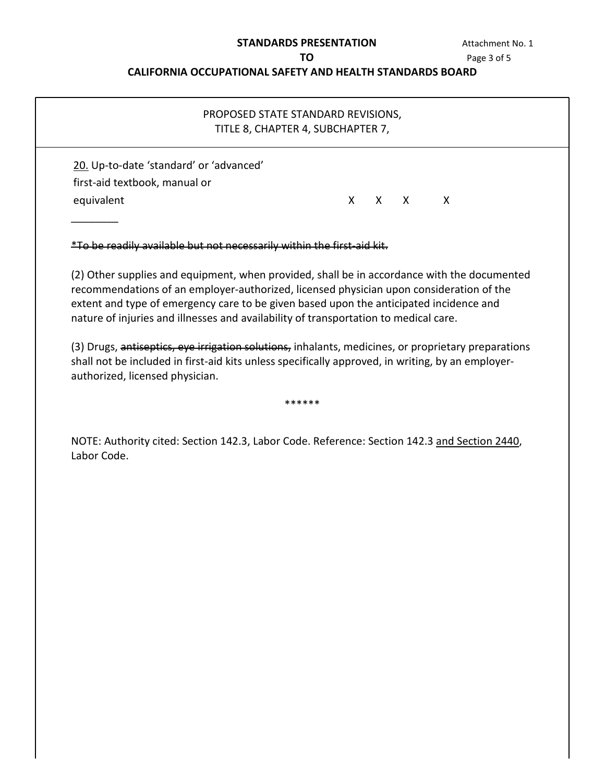### **STANDARDS PRESENTATION**

### **CALIFORNIA OCCUPATIONAL SAFETY AND HEALTH STANDARDS BOARD**

<span id="page-2-0"></span>

| <b>STANDARDS PRESENTATION</b>                                    |                                    |  |  |  | Attachment No. 1 |             |
|------------------------------------------------------------------|------------------------------------|--|--|--|------------------|-------------|
|                                                                  | ΤO                                 |  |  |  |                  | Page 3 of 5 |
| <b>CALIFORNIA OCCUPATIONAL SAFETY AND HEALTH STANDARDS BOARD</b> |                                    |  |  |  |                  |             |
|                                                                  | PROPOSED STATE STANDARD REVISIONS, |  |  |  |                  |             |
|                                                                  | TITLE 8, CHAPTER 4, SUBCHAPTER 7,  |  |  |  |                  |             |
|                                                                  |                                    |  |  |  |                  |             |
| 20. Up-to-date 'standard' or 'advanced'                          |                                    |  |  |  |                  |             |
| first-aid textbook, manual or                                    |                                    |  |  |  |                  |             |

 (2) Other supplies and equipment, when provided, shall be in accordance with the documented extent and type of emergency care to be given based upon the anticipated incidence and nature of injuries and illnesses and availability of transportation to medical care. recommendations of an employer-authorized, licensed physician upon consideration of the

(3) Drugs, antiseptics, eye irrigation solutions, inhalants, medicines, or proprietary preparations shall not be included in first-aid kits unless specifically approved, in writing, by an employerauthorized, licensed physician.

\*\*\*\*\*\*

NOTE: Authority cited: Section 142.3, Labor Code. Reference: Section 142.3 and Section 2440, Labor Code.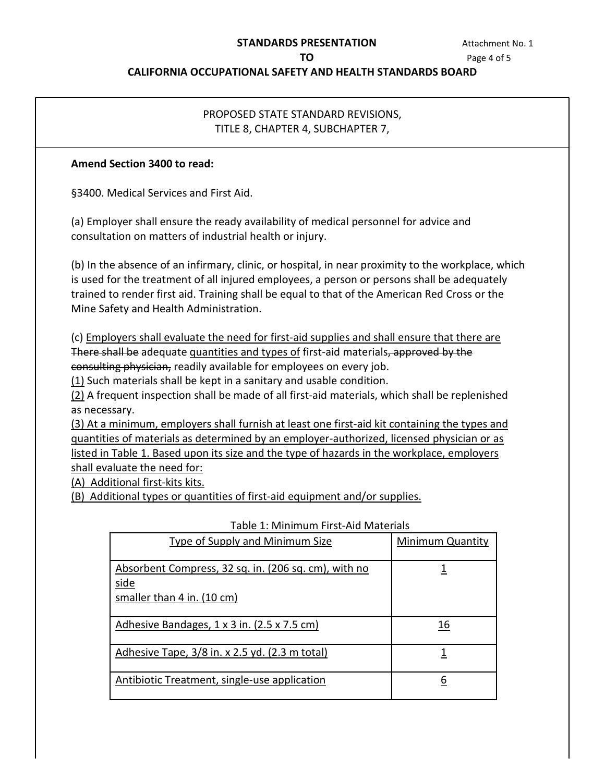# **STANDARDS PRESENTATION Attachment No. 1**

**TO** Page 4 of 5

### **CALIFORNIA OCCUPATIONAL SAFETY AND HEALTH STANDARDS BOARD**

## PROPOSED STATE STANDARD REVISIONS, TITLE 8, CHAPTER 4, SUBCHAPTER 7,

### **Amend Section 3400 to read:**

§3400. Medical Services and First Aid.

(a) Employer shall ensure the ready availability of medical personnel for advice and consultation on matters of industrial health or injury.

 (b) In the absence of an infirmary, clinic, or hospital, in near proximity to the workplace, which is used for the treatment of all injured employees, a person or persons shall be adequately trained to render first aid. Training shall be equal to that of the American Red Cross or the Mine Safety and Health Administration.

(c) Employers shall evaluate the need for first-aid supplies and shall ensure that there are There shall be adequate quantities and types of first-aid materials, approved by the consulting physician, readily available for employees on every job.

 $(1)$  Such materials shall be kept in a sanitary and usable condition.

(2) A frequent inspection shall be made of all first-aid materials, which shall be replenished as necessary.

 quantities of materials as determined by an employer-authorized, licensed physician or as listed in Table 1. Based upon its size and the type of hazards in the workplace, employers shall evaluate the need for: (3) At a minimum, employers shall furnish at least one first-aid kit containing the types and

(A) Additional first-kits kits.

(A) Additional first-kits kits.<br>(B) Additional types or quantities of first-aid equipment and/or supplies.<br>Table 1: Minimum First-Aid Materials

| <b>Type of Supply and Minimum Size</b>                                                     | <b>Minimum Quantity</b> |
|--------------------------------------------------------------------------------------------|-------------------------|
| Absorbent Compress, 32 sq. in. (206 sq. cm), with no<br>side<br>smaller than 4 in. (10 cm) |                         |
| Adhesive Bandages, 1 x 3 in. (2.5 x 7.5 cm)                                                | 16                      |
| Adhesive Tape, 3/8 in. x 2.5 yd. (2.3 m total)                                             |                         |
| Antibiotic Treatment, single-use application                                               | 6                       |